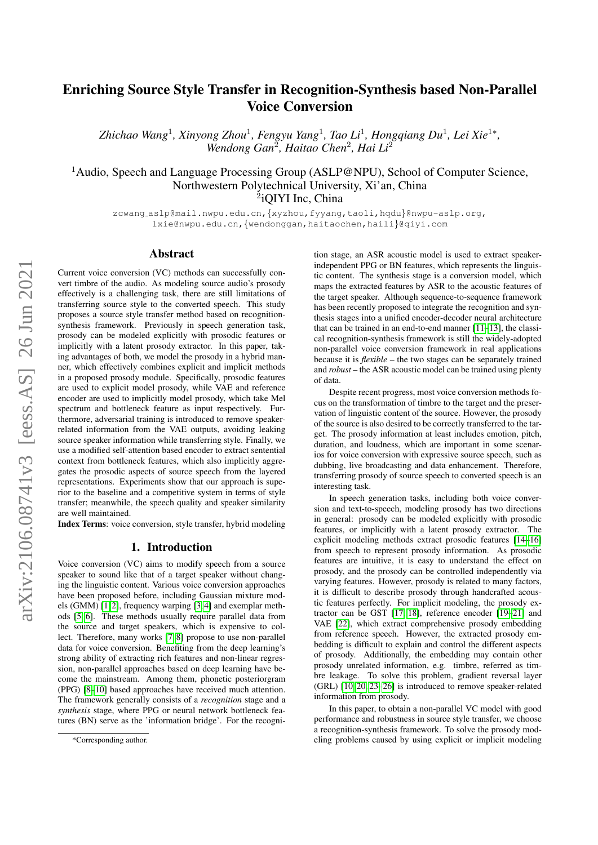# Enriching Source Style Transfer in Recognition-Synthesis based Non-Parallel Voice Conversion

*Zhichao Wang*<sup>1</sup> *, Xinyong Zhou*<sup>1</sup> *, Fengyu Yang*<sup>1</sup> *, Tao Li*<sup>1</sup> *, Hongqiang Du*<sup>1</sup> *, Lei Xie*<sup>1</sup><sup>∗</sup> *,* Wendong Gan<sup>2</sup>, Haitao Chen<sup>2</sup>, Hai Li<sup>2</sup>

<sup>1</sup>Audio, Speech and Language Processing Group (ASLP@NPU), School of Computer Science, Northwestern Polytechnical University, Xi'an, China 2 iQIYI Inc, China

zcwang\_aslp@mail.nwpu.edu.cn, {xyzhou, fyyang, taoli, hqdu}@nwpu-aslp.orq, lxie@nwpu.edu.cn,{wendonggan,haitaochen,haili}@qiyi.com

### Abstract

Current voice conversion (VC) methods can successfully convert timbre of the audio. As modeling source audio's prosody effectively is a challenging task, there are still limitations of transferring source style to the converted speech. This study proposes a source style transfer method based on recognitionsynthesis framework. Previously in speech generation task, prosody can be modeled explicitly with prosodic features or implicitly with a latent prosody extractor. In this paper, taking advantages of both, we model the prosody in a hybrid manner, which effectively combines explicit and implicit methods in a proposed prosody module. Specifically, prosodic features are used to explicit model prosody, while VAE and reference encoder are used to implicitly model prosody, which take Mel spectrum and bottleneck feature as input respectively. Furthermore, adversarial training is introduced to remove speakerrelated information from the VAE outputs, avoiding leaking source speaker information while transferring style. Finally, we use a modified self-attention based encoder to extract sentential context from bottleneck features, which also implicitly aggregates the prosodic aspects of source speech from the layered representations. Experiments show that our approach is superior to the baseline and a competitive system in terms of style transfer; meanwhile, the speech quality and speaker similarity are well maintained.

Index Terms: voice conversion, style transfer, hybrid modeling

# 1. Introduction

Voice conversion (VC) aims to modify speech from a source speaker to sound like that of a target speaker without changing the linguistic content. Various voice conversion approaches have been proposed before, including Gaussian mixture models (GMM) [\[1,](#page-4-0) [2\]](#page-4-1), frequency warping [\[3,](#page-4-2) [4\]](#page-4-3) and exemplar methods [\[5,](#page-4-4) [6\]](#page-4-5). These methods usually require parallel data from the source and target speakers, which is expensive to collect. Therefore, many works [\[7,](#page-4-6) [8\]](#page-4-7) propose to use non-parallel data for voice conversion. Benefiting from the deep learning's strong ability of extracting rich features and non-linear regression, non-parallel approaches based on deep learning have become the mainstream. Among them, phonetic posteriorgram (PPG) [\[8](#page-4-7)[–10\]](#page-4-8) based approaches have received much attention. The framework generally consists of a *recognition* stage and a *synthesis* stage, where PPG or neural network bottleneck features (BN) serve as the 'information bridge'. For the recogni-

tion stage, an ASR acoustic model is used to extract speakerindependent PPG or BN features, which represents the linguistic content. The synthesis stage is a conversion model, which maps the extracted features by ASR to the acoustic features of the target speaker. Although sequence-to-sequence framework has been recently proposed to integrate the recognition and synthesis stages into a unified encoder-decoder neural architecture that can be trained in an end-to-end manner [\[11–](#page-4-9)[13\]](#page-4-10), the classical recognition-synthesis framework is still the widely-adopted non-parallel voice conversion framework in real applications because it is *flexible* – the two stages can be separately trained and *robust* – the ASR acoustic model can be trained using plenty of data.

Despite recent progress, most voice conversion methods focus on the transformation of timbre to the target and the preservation of linguistic content of the source. However, the prosody of the source is also desired to be correctly transferred to the target. The prosody information at least includes emotion, pitch, duration, and loudness, which are important in some scenarios for voice conversion with expressive source speech, such as dubbing, live broadcasting and data enhancement. Therefore, transferring prosody of source speech to converted speech is an interesting task.

In speech generation tasks, including both voice conversion and text-to-speech, modeling prosody has two directions in general: prosody can be modeled explicitly with prosodic features, or implicitly with a latent prosody extractor. The explicit modeling methods extract prosodic features [\[14–](#page-4-11)[16\]](#page-4-12) from speech to represent prosody information. As prosodic features are intuitive, it is easy to understand the effect on prosody, and the prosody can be controlled independently via varying features. However, prosody is related to many factors, it is difficult to describe prosody through handcrafted acoustic features perfectly. For implicit modeling, the prosody extractor can be GST [\[17,](#page-4-13) [18\]](#page-4-14), reference encoder [\[19–](#page-4-15)[21\]](#page-4-16) and VAE [\[22\]](#page-4-17), which extract comprehensive prosody embedding from reference speech. However, the extracted prosody embedding is difficult to explain and control the different aspects of prosody. Additionally, the embedding may contain other prosody unrelated information, e.g. timbre, referred as timbre leakage. To solve this problem, gradient reversal layer (GRL) [\[10,](#page-4-8) [20,](#page-4-18) [23](#page-4-19)[–26\]](#page-4-20) is introduced to remove speaker-related information from prosody.

In this paper, to obtain a non-parallel VC model with good performance and robustness in source style transfer, we choose a recognition-synthesis framework. To solve the prosody modeling problems caused by using explicit or implicit modeling

<sup>\*</sup>Corresponding author.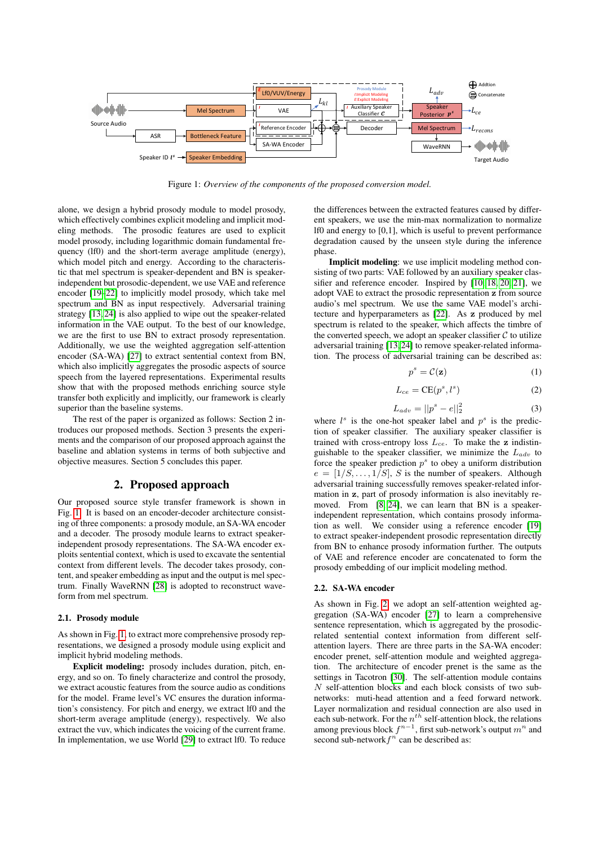<span id="page-1-0"></span>

Figure 1: *Overview of the components of the proposed conversion model.*

alone, we design a hybrid prosody module to model prosody, which effectively combines explicit modeling and implicit modeling methods. The prosodic features are used to explicit model prosody, including logarithmic domain fundamental frequency (lf0) and the short-term average amplitude (energy), which model pitch and energy. According to the characteristic that mel spectrum is speaker-dependent and BN is speakerindependent but prosodic-dependent, we use VAE and reference encoder [\[19–](#page-4-15)[22\]](#page-4-17) to implicitly model prosody, which take mel spectrum and BN as input respectively. Adversarial training strategy [\[13,](#page-4-10) [24\]](#page-4-21) is also applied to wipe out the speaker-related information in the VAE output. To the best of our knowledge, we are the first to use BN to extract prosody representation. Additionally, we use the weighted aggregation self-attention encoder (SA-WA) [\[27\]](#page-4-22) to extract sentential context from BN, which also implicitly aggregates the prosodic aspects of source speech from the layered representations. Experimental results show that with the proposed methods enriching source style transfer both explicitly and implicitly, our framework is clearly superior than the baseline systems.

The rest of the paper is organized as follows: Section 2 introduces our proposed methods. Section 3 presents the experiments and the comparison of our proposed approach against the baseline and ablation systems in terms of both subjective and objective measures. Section 5 concludes this paper.

## 2. Proposed approach

<span id="page-1-1"></span>Our proposed source style transfer framework is shown in Fig. [1.](#page-1-0) It is based on an encoder-decoder architecture consisting of three components: a prosody module, an SA-WA encoder and a decoder. The prosody module learns to extract speakerindependent prosody representations. The SA-WA encoder exploits sentential context, which is used to excavate the sentential context from different levels. The decoder takes prosody, content, and speaker embedding as input and the output is mel spectrum. Finally WaveRNN [\[28\]](#page-4-23) is adopted to reconstruct waveform from mel spectrum.

#### 2.1. Prosody module

As shown in Fig. [1,](#page-1-0) to extract more comprehensive prosody representations, we designed a prosody module using explicit and implicit hybrid modeling methods.

Explicit modeling: prosody includes duration, pitch, energy, and so on. To finely characterize and control the prosody, we extract acoustic features from the source audio as conditions for the model. Frame level's VC ensures the duration information's consistency. For pitch and energy, we extract lf0 and the short-term average amplitude (energy), respectively. We also extract the vuv, which indicates the voicing of the current frame. In implementation, we use World [\[29\]](#page-4-24) to extract lf0. To reduce the differences between the extracted features caused by different speakers, we use the min-max normalization to normalize lf0 and energy to [0,1], which is useful to prevent performance degradation caused by the unseen style during the inference phase.

Implicit modeling: we use implicit modeling method consisting of two parts: VAE followed by an auxiliary speaker classifier and reference encoder. Inspired by [\[10,](#page-4-8) [18,](#page-4-14) [20,](#page-4-18) [21\]](#page-4-16), we adopt VAE to extract the prosodic representation z from source audio's mel spectrum. We use the same VAE model's architecture and hyperparameters as [\[22\]](#page-4-17). As z produced by mel spectrum is related to the speaker, which affects the timbre of the converted speech, we adopt an speaker classifier  $C$  to utilize adversarial training [\[13,](#page-4-10) [24\]](#page-4-21) to remove speaker-related information. The process of adversarial training can be described as:

$$
p^s = \mathcal{C}(\mathbf{z})\tag{1}
$$

$$
L_{ce} = \text{CE}(p^s, l^s) \tag{2}
$$

$$
L_{adv} = ||p^s - e||_2^2
$$
 (3)

where  $l^s$  is the one-hot speaker label and  $p^s$  is the prediction of speaker classifier. The auxiliary speaker classifier is trained with cross-entropy loss  $L_{ce}$ . To make the z indistinguishable to the speaker classifier, we minimize the  $L_{adv}$  to force the speaker prediction  $p<sup>s</sup>$  to obey a uniform distribution  $e = [1/S, \ldots, 1/S], S$  is the number of speakers. Although adversarial training successfully removes speaker-related information in z, part of prosody information is also inevitably re-moved. From [\[8,](#page-4-7) [24\]](#page-4-21), we can learn that BN is a speakerindependent representation, which contains prosody information as well. We consider using a reference encoder [\[19\]](#page-4-15) to extract speaker-independent prosodic representation directly from BN to enhance prosody information further. The outputs of VAE and reference encoder are concatenated to form the prosody embedding of our implicit modeling method.

## 2.2. SA-WA encoder

As shown in Fig. [2,](#page-2-0) we adopt an self-attention weighted aggregation (SA-WA) encoder [\[27\]](#page-4-22) to learn a comprehensive sentence representation, which is aggregated by the prosodicrelated sentential context information from different selfattention layers. There are three parts in the SA-WA encoder: encoder prenet, self-attention module and weighted aggregation. The architecture of encoder prenet is the same as the settings in Tacotron [\[30\]](#page-4-25). The self-attention module contains  $N$  self-attention blocks and each block consists of two subnetworks: muti-head attention and a feed forward network. Layer normalization and residual connection are also used in each sub-network. For the  $n^{th}$  self-attention block, the relations among previous block  $f^{n-1}$ , first sub-network's output  $m^n$  and second sub-network $f^n$  can be described as: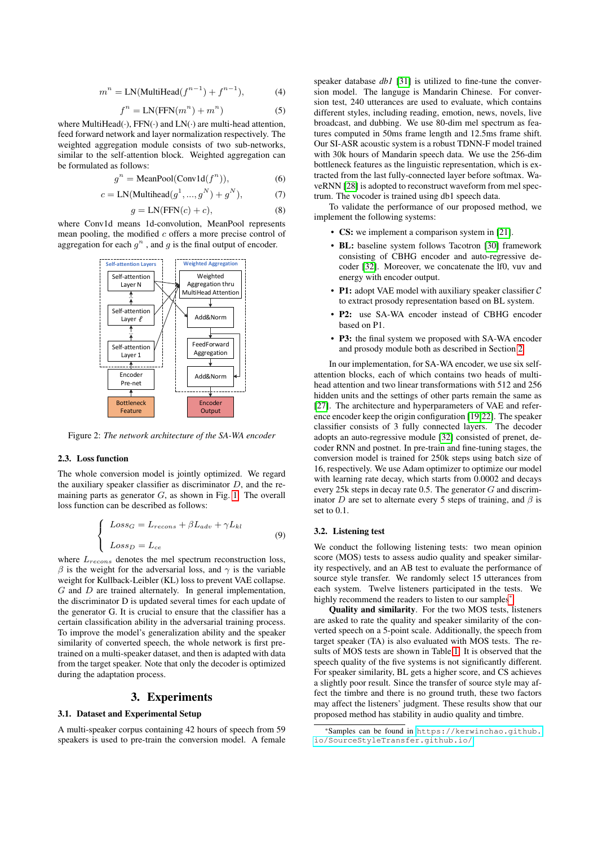$$
mn = LN(MultiHead(fn-1) + fn-1),
$$
 (4)

$$
f^{n} = LN(FFN(m^{n}) + m^{n})
$$
 (5)

where MultiHead( $\cdot$ ), FFN( $\cdot$ ) and LN( $\cdot$ ) are multi-head attention, feed forward network and layer normalization respectively. The weighted aggregation module consists of two sub-networks, similar to the self-attention block. Weighted aggregation can be formulated as follows:

$$
g^n = \text{MeanPool}(\text{Conv1d}(f^n)),\tag{6}
$$

$$
c = LN(Multihead(g1, ..., gN) + gN),
$$
 (7)

$$
g = LN(FFN(c) + c),
$$
 (8)

where Conv1d means 1d-convolution, MeanPool represents mean pooling, the modified  $c$  offers a more precise control of aggregation for each  $g^n$ , and g is the final output of encoder.

<span id="page-2-0"></span>

Figure 2: *The network architecture of the SA-WA encoder*

#### 2.3. Loss function

The whole conversion model is jointly optimized. We regard the auxiliary speaker classifier as discriminator  $D$ , and the remaining parts as generator  $G$ , as shown in Fig. [1.](#page-1-0) The overall loss function can be described as follows:

$$
\begin{cases}\n\text{Loss}_G = \text{L}_{recons} + \beta \text{L}_{adv} + \gamma \text{L}_{kl} \\
\text{Loss}_D = \text{L}_{ce}\n\end{cases} \tag{9}
$$

where  $L_{recons}$  denotes the mel spectrum reconstruction loss,  $β$  is the weight for the adversarial loss, and  $γ$  is the variable weight for Kullback-Leibler (KL) loss to prevent VAE collapse.  $G$  and  $D$  are trained alternately. In general implementation, the discriminator D is updated several times for each update of the generator G. It is crucial to ensure that the classifier has a certain classification ability in the adversarial training process. To improve the model's generalization ability and the speaker similarity of converted speech, the whole network is first pretrained on a multi-speaker dataset, and then is adapted with data from the target speaker. Note that only the decoder is optimized during the adaptation process.

# 3. Experiments

### 3.1. Dataset and Experimental Setup

A multi-speaker corpus containing 42 hours of speech from 59 speakers is used to pre-train the conversion model. A female speaker database *db1* [\[31\]](#page-4-26) is utilized to fine-tune the conversion model. The languge is Mandarin Chinese. For conversion test, 240 utterances are used to evaluate, which contains different styles, including reading, emotion, news, novels, live broadcast, and dubbing. We use 80-dim mel spectrum as features computed in 50ms frame length and 12.5ms frame shift. Our SI-ASR acoustic system is a robust TDNN-F model trained with 30k hours of Mandarin speech data. We use the 256-dim bottleneck features as the linguistic representation, which is extracted from the last fully-connected layer before softmax. WaveRNN [\[28\]](#page-4-23) is adopted to reconstruct waveform from mel spectrum. The vocoder is trained using db1 speech data.

To validate the performance of our proposed method, we implement the following systems:

- CS: we implement a comparison system in [\[21\]](#page-4-16).
- BL: baseline system follows Tacotron [\[30\]](#page-4-25) framework consisting of CBHG encoder and auto-regressive decoder [\[32\]](#page-4-27). Moreover, we concatenate the lf0, vuv and energy with encoder output.
- **P1:** adopt VAE model with auxiliary speaker classifier  $C$ to extract prosody representation based on BL system.
- P2: use SA-WA encoder instead of CBHG encoder based on P1.
- P3: the final system we proposed with SA-WA encoder and prosody module both as described in Section [2.](#page-1-1)

In our implementation, for SA-WA encoder, we use six selfattention blocks, each of which contains two heads of multihead attention and two linear transformations with 512 and 256 hidden units and the settings of other parts remain the same as [\[27\]](#page-4-22). The architecture and hyperparameters of VAE and reference encoder keep the origin configuration [\[19,](#page-4-15)[22\]](#page-4-17). The speaker classifier consists of 3 fully connected layers. The decoder adopts an auto-regressive module [\[32\]](#page-4-27) consisted of prenet, decoder RNN and postnet. In pre-train and fine-tuning stages, the conversion model is trained for 250k steps using batch size of 16, respectively. We use Adam optimizer to optimize our model with learning rate decay, which starts from 0.0002 and decays every 25k steps in decay rate 0.5. The generator G and discriminator D are set to alternate every 5 steps of training, and  $\beta$  is set to 0.1.

#### 3.2. Listening test

We conduct the following listening tests: two mean opinion score (MOS) tests to assess audio quality and speaker similarity respectively, and an AB test to evaluate the performance of source style transfer. We randomly select 15 utterances from each system. Twelve listeners participated in the tests. We highly recommend the readers to listen to our samples<sup>[\\*](#page-2-1)</sup>.

Quality and similarity. For the two MOS tests, listeners are asked to rate the quality and speaker similarity of the converted speech on a 5-point scale. Additionally, the speech from target speaker (TA) is also evaluated with MOS tests. The results of MOS tests are shown in Table [1.](#page-3-0) It is observed that the speech quality of the five systems is not significantly different. For speaker similarity, BL gets a higher score, and CS achieves a slightly poor result. Since the transfer of source style may affect the timbre and there is no ground truth, these two factors may affect the listeners' judgment. These results show that our proposed method has stability in audio quality and timbre.

<span id="page-2-1"></span><sup>\*</sup>Samples can be found in [https://kerwinchao.github.](https://kerwinchao.github.io/SourceStyleTransfer.github.io/) [io/SourceStyleTransfer.github.io/](https://kerwinchao.github.io/SourceStyleTransfer.github.io/)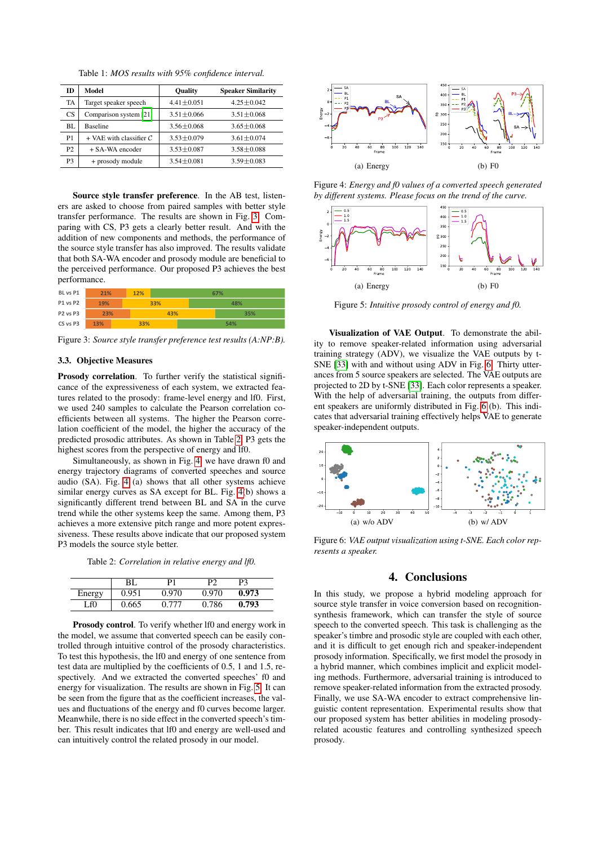Table 1: *MOS results with 95% confidence interval.*

<span id="page-3-0"></span>

| ID             | Model                     | <b>Quality</b>   | <b>Speaker Similarity</b> |  |
|----------------|---------------------------|------------------|---------------------------|--|
| TA             | Target speaker speech     | $4.41 \pm 0.051$ | $4.25 + 0.042$            |  |
| CS             | Comparison system [21]    | $3.51 \pm 0.066$ | $3.51 \pm 0.068$          |  |
| BL.            | <b>Baseline</b>           | $3.56 + 0.068$   | $3.65 \pm 0.068$          |  |
| P <sub>1</sub> | $+$ VAE with classifier C | $3.53 \pm 0.079$ | $3.61 \pm 0.074$          |  |
| P2             | $+$ SA-WA encoder         | $3.53 \pm 0.087$ | $3.58 \pm 0.088$          |  |
| P <sub>3</sub> | + prosody module          | $3.54 \pm 0.081$ | $3.59 \pm 0.083$          |  |

Source style transfer preference. In the AB test, listeners are asked to choose from paired samples with better style transfer performance. The results are shown in Fig. [3.](#page-3-1) Comparing with CS, P3 gets a clearly better result. And with the addition of new components and methods, the performance of the source style transfer has also improved. The results validate that both SA-WA encoder and prosody module are beneficial to the perceived performance. Our proposed P3 achieves the best performance.

<span id="page-3-1"></span>

| BL vs P1                         | 21% | 12% | 67% |     |     |  |
|----------------------------------|-----|-----|-----|-----|-----|--|
| <b>P1 vs P2</b>                  | 19% |     | 33% | 48% |     |  |
| P <sub>2</sub> vs P <sub>3</sub> | 23% |     | 43% |     | 35% |  |
| CS vs P3                         | 13% | 33% |     |     | 54% |  |

Figure 3: *Source style transfer preference test results (A:NP:B).*

### 3.3. Objective Measures

Prosody correlation. To further verify the statistical significance of the expressiveness of each system, we extracted features related to the prosody: frame-level energy and lf0. First, we used 240 samples to calculate the Pearson correlation coefficients between all systems. The higher the Pearson correlation coefficient of the model, the higher the accuracy of the predicted prosodic attributes. As shown in Table [2,](#page-3-2) P3 gets the highest scores from the perspective of energy and lf0.

Simultaneously, as shown in Fig. [4,](#page-3-3) we have drawn f0 and energy trajectory diagrams of converted speeches and source audio (SA). Fig. [4](#page-3-3) (a) shows that all other systems achieve similar energy curves as SA except for BL. Fig. [4\(](#page-3-3)b) shows a significantly different trend between BL and SA in the curve trend while the other systems keep the same. Among them, P3 achieves a more extensive pitch range and more potent expressiveness. These results above indicate that our proposed system P3 models the source style better.

Table 2: *Correlation in relative energy and lf0.*

<span id="page-3-2"></span>

|        | BL    | D1    | רם    | P3    |
|--------|-------|-------|-------|-------|
| Energy | 0.951 | 0.970 | 0.970 | 0.973 |
| Lf0    | 0.665 | 777   | 0.786 | 0.793 |

Prosody control. To verify whether If0 and energy work in the model, we assume that converted speech can be easily controlled through intuitive control of the prosody characteristics. To test this hypothesis, the lf0 and energy of one sentence from test data are multiplied by the coefficients of 0.5, 1 and 1.5, respectively. And we extracted the converted speeches' f0 and energy for visualization. The results are shown in Fig. [5.](#page-3-4) It can be seen from the figure that as the coefficient increases, the values and fluctuations of the energy and f0 curves become larger. Meanwhile, there is no side effect in the converted speech's timber. This result indicates that lf0 and energy are well-used and can intuitively control the related prosody in our model.

<span id="page-3-3"></span>

Figure 4: *Energy and f0 values of a converted speech generated by different systems. Please focus on the trend of the curve.*

<span id="page-3-4"></span>

Figure 5: *Intuitive prosody control of energy and f0.*

Visualization of VAE Output. To demonstrate the ability to remove speaker-related information using adversarial training strategy (ADV), we visualize the VAE outputs by t-SNE [\[33\]](#page-4-28) with and without using ADV in Fig. [6.](#page-3-5) Thirty utterances from 5 source speakers are selected. The VAE outputs are projected to 2D by t-SNE [\[33\]](#page-4-28). Each color represents a speaker. With the help of adversarial training, the outputs from different speakers are uniformly distributed in Fig. [6](#page-3-5) (b). This indicates that adversarial training effectively helps VAE to generate speaker-independent outputs.

<span id="page-3-5"></span>

Figure 6: *VAE output visualization using t-SNE. Each color represents a speaker.*

# 4. Conclusions

In this study, we propose a hybrid modeling approach for source style transfer in voice conversion based on recognitionsynthesis framework, which can transfer the style of source speech to the converted speech. This task is challenging as the speaker's timbre and prosodic style are coupled with each other, and it is difficult to get enough rich and speaker-independent prosody information. Specifically, we first model the prosody in a hybrid manner, which combines implicit and explicit modeling methods. Furthermore, adversarial training is introduced to remove speaker-related information from the extracted prosody. Finally, we use SA-WA encoder to extract comprehensive linguistic content representation. Experimental results show that our proposed system has better abilities in modeling prosodyrelated acoustic features and controlling synthesized speech prosody.